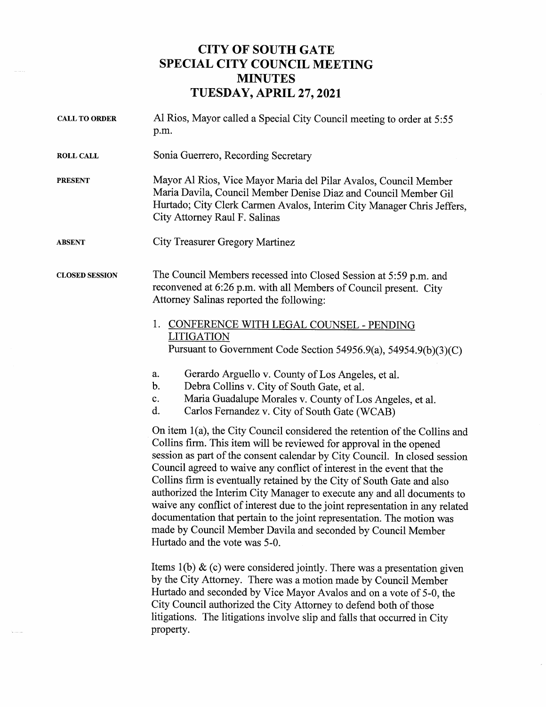## CITY OF SOUTH GATE SPECIAL CITY COUNCIL MEETING MINUTES TUESDAY, APRIL 27, 2021

| <b>CALL TO ORDER</b>  | Al Rios, Mayor called a Special City Council meeting to order at 5:55<br>p.m.                                                                                                                                                                                                                                                                                                                                                                                                                                                                                                                                                                                                                                              |
|-----------------------|----------------------------------------------------------------------------------------------------------------------------------------------------------------------------------------------------------------------------------------------------------------------------------------------------------------------------------------------------------------------------------------------------------------------------------------------------------------------------------------------------------------------------------------------------------------------------------------------------------------------------------------------------------------------------------------------------------------------------|
| <b>ROLL CALL</b>      | Sonia Guerrero, Recording Secretary                                                                                                                                                                                                                                                                                                                                                                                                                                                                                                                                                                                                                                                                                        |
| <b>PRESENT</b>        | Mayor Al Rios, Vice Mayor Maria del Pilar Avalos, Council Member<br>Maria Davila, Council Member Denise Diaz and Council Member Gil<br>Hurtado; City Clerk Carmen Avalos, Interim City Manager Chris Jeffers,<br>City Attorney Raul F. Salinas                                                                                                                                                                                                                                                                                                                                                                                                                                                                             |
| <b>ABSENT</b>         | City Treasurer Gregory Martinez                                                                                                                                                                                                                                                                                                                                                                                                                                                                                                                                                                                                                                                                                            |
| <b>CLOSED SESSION</b> | The Council Members recessed into Closed Session at 5:59 p.m. and<br>reconvened at 6:26 p.m. with all Members of Council present. City<br>Attorney Salinas reported the following:                                                                                                                                                                                                                                                                                                                                                                                                                                                                                                                                         |
|                       | CONFERENCE WITH LEGAL COUNSEL - PENDING<br>1.<br>LITIGATION<br>Pursuant to Government Code Section 54956.9(a), 54954.9(b)(3)(C)                                                                                                                                                                                                                                                                                                                                                                                                                                                                                                                                                                                            |
|                       | Gerardo Arguello v. County of Los Angeles, et al.<br>a.<br>b.<br>Debra Collins v. City of South Gate, et al.<br>Maria Guadalupe Morales v. County of Los Angeles, et al.<br>c.<br>d.<br>Carlos Fernandez v. City of South Gate (WCAB)                                                                                                                                                                                                                                                                                                                                                                                                                                                                                      |
|                       | On item 1(a), the City Council considered the retention of the Collins and<br>Collins firm. This item will be reviewed for approval in the opened<br>session as part of the consent calendar by City Council. In closed session<br>Council agreed to waive any conflict of interest in the event that the<br>Collins firm is eventually retained by the City of South Gate and also<br>authorized the Interim City Manager to execute any and all documents to<br>waive any conflict of interest due to the joint representation in any related<br>documentation that pertain to the joint representation. The motion was<br>made by Council Member Davila and seconded by Council Member<br>Hurtado and the vote was 5-0. |
|                       | Items $1(b)$ & (c) were considered jointly. There was a presentation given<br>by the City Attorney. There was a motion made by Council Member<br>Hurtado and seconded by Vice Mayor Avalos and on a vote of 5-0, the<br>City Council authorized the City Attorney to defend both of those<br>litigations. The litigations involve slip and falls that occurred in City<br>property.                                                                                                                                                                                                                                                                                                                                        |